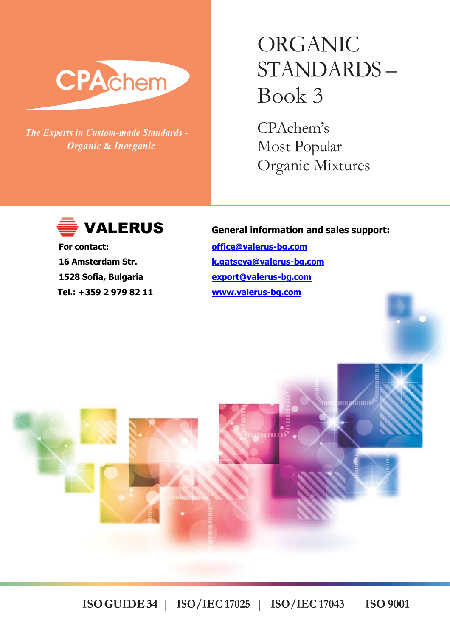# CPAchem

*The Experts in Custom-made Standards - Organic* **&** *Inorganic*

# ORGANIC STANDARDS – Book 3

CPAchem's Most Popular Organic Mixtures



 **Tel.: +359 2 979 82 11 www.valerus-bg.com**

### **VALERUS General information and sales support:**

**For contact: office@valerus-bg.com 16 Amsterdam Str. k.gatseva@valerus-bg.com 1528 Sofia, Bulgaria export@valerus-bg.com**

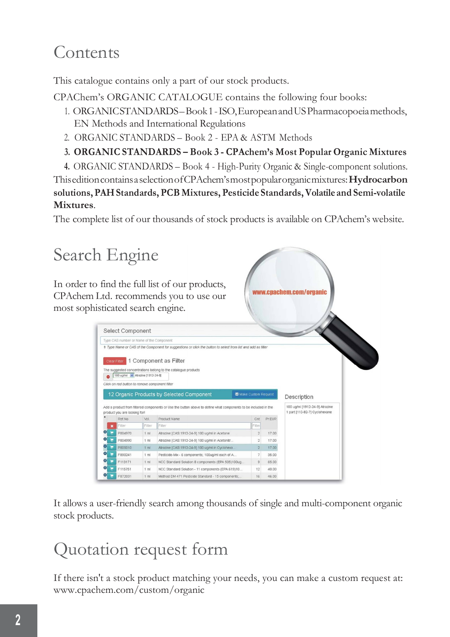# Contents

This catalogue contains only a part of our stock products.

CPAChem's ORGANIC CATALOGUE contains the following four books:

- 1. ORGANICSTANDARDS–Book1-ISO,EuropeanandUSPharmacopoeiamethods, EN Methods and International Regulations
- 2. ORGANIC STANDARDS Book 2 EPA & ASTM Methods
- **3. ORGANIC STANDARDS – Book 3 - CPAchem's Most Popular Organic Mixtures**
- **4.** ORGANIC STANDARDS Book 4 High-Purity Organic & Single-component solutions.

ThiseditioncontainsaselectionofCPAchem'smostpopularorganicmixtures:**Hydrocarbon solutions, PAH Standards, PCB Mixtures, Pesticide Standards, Volatile and Semi-volatile Mixtures**.

The complete list of our thousands of stock products is available on CPAchem's website.



It allows a user-friendly search among thousands of single and multi-component organic stock products.

# Quotation request form

If there isn't a stock product matching your needs, you can make a custom request at: www.cpachem.com/custom/organic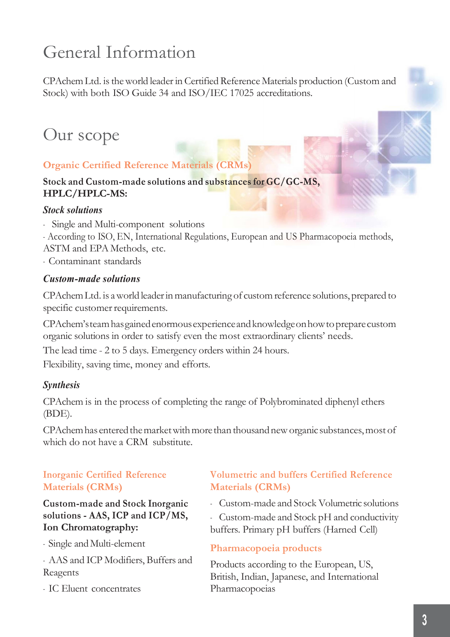# General Information

CPAchem Ltd. is the world leader in Certified Reference Materials production (Custom and Stock) with both ISO Guide 34 and ISO/IEC 17025 accreditations.

# Our scope

### **Organic Certified Reference Materials (CRMs)**

### **Stock and Custom-made solutions and substances for GC/GC-MS, HPLC/HPLC-MS:**

### *Stock solutions*

- Single and Multi-component solutions
- According to ISO, EN, International Regulations, European and US Pharmacopoeia methods,
- ASTM and EPA Methods, etc.
- Contaminant standards

### *Custom-made solutions*

CPAchem Ltd. is a world leader in manufacturing of custom reference solutions, prepared to specific customer requirements.

CPAchem'steamhasgainedenormousexperienceandknowledgeonhowtopreparecustom organic solutions in order to satisfy even the most extraordinary clients' needs.

The lead time - 2 to 5 days. Emergency orders within 24 hours.

Flexibility, saving time, money and efforts.

### *Synthesis*

CPAchem is in the process of completing the range of Polybrominated diphenyl ethers (BDE).

CPAchem has entered the market with more than thousand new organic substances, most of which do not have a CRM substitute.

### **Inorganic Certified Reference Materials (CRMs)**

**Custom-made and Stock Inorganic solutions - AAS, ICP and ICP/MS, Ion Chromatography:**

- Single andMulti-element

- AAS and ICP Modifiers, Buffers and Reagents

- IC Eluent concentrates

### **Volumetric and buffers Certified Reference Materials (CRMs)**

- Custom-made and Stock Volumetric solutions
- Custom-made and Stock pH and conductivity buffers. Primary pH buffers (Harned Cell)

### **Pharmacopoeia products**

Products according to the European, US, British, Indian, Japanese, and International Pharmacopoeias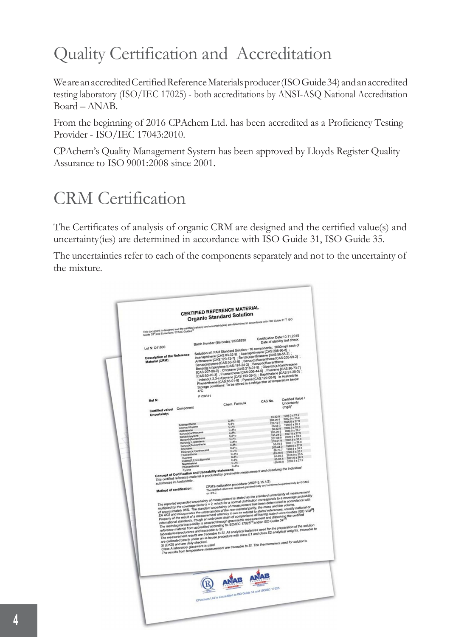# Quality Certification and Accreditation

We are an accredited Certified Reference Materials producer (ISO Guide 34) and an accredited testing laboratory (ISO/IEC 17025) - both accreditations by ANSI-ASQ National Accreditation Board – ANAB.

From the beginning of 2016 CPAchem Ltd. has been accredited as a Proficiency Testing Provider - ISO/IEC 17043:2010.

CPAchem's Quality Management System has been approved by Lloyds Register Quality Assurance to ISO 9001:2008 since 2001.

# CRM Certification

The Certificates of analysis of organic CRM are designed and the certified value(s) and uncertainty(ies) are determined in accordance with ISO Guide 31, ISO Guide 35.

The uncertainties refer to each of the components separately and not to the uncertainty of the mixture.

|                                                                                                                                                                                                     |                                                      | <b>CERTIFIED REFERENCE MATERIAL</b><br><b>Organic Standard Solution</b>                                                                                                                                                                                                                                                                                                                                                                                                                                                                                                                                                                                                                                                                                                                                                                                                                                                                                                                                                                                                                                                                                                                                                                                                                                                                                                                                                                                                                                                                                                                                                                                                                                                                                                                                                                                                                     |                                |                                    |
|-----------------------------------------------------------------------------------------------------------------------------------------------------------------------------------------------------|------------------------------------------------------|---------------------------------------------------------------------------------------------------------------------------------------------------------------------------------------------------------------------------------------------------------------------------------------------------------------------------------------------------------------------------------------------------------------------------------------------------------------------------------------------------------------------------------------------------------------------------------------------------------------------------------------------------------------------------------------------------------------------------------------------------------------------------------------------------------------------------------------------------------------------------------------------------------------------------------------------------------------------------------------------------------------------------------------------------------------------------------------------------------------------------------------------------------------------------------------------------------------------------------------------------------------------------------------------------------------------------------------------------------------------------------------------------------------------------------------------------------------------------------------------------------------------------------------------------------------------------------------------------------------------------------------------------------------------------------------------------------------------------------------------------------------------------------------------------------------------------------------------------------------------------------------------|--------------------------------|------------------------------------|
| This document is designed and the certified value(s) and uncertainty(ses) are determined in accordance with ISO Guide 31 <sup>11</sup> , ISO<br>Guide 35°,snd Eurachem / CITAC Guides <sup>10</sup> |                                                      |                                                                                                                                                                                                                                                                                                                                                                                                                                                                                                                                                                                                                                                                                                                                                                                                                                                                                                                                                                                                                                                                                                                                                                                                                                                                                                                                                                                                                                                                                                                                                                                                                                                                                                                                                                                                                                                                                             |                                |                                    |
|                                                                                                                                                                                                     |                                                      |                                                                                                                                                                                                                                                                                                                                                                                                                                                                                                                                                                                                                                                                                                                                                                                                                                                                                                                                                                                                                                                                                                                                                                                                                                                                                                                                                                                                                                                                                                                                                                                                                                                                                                                                                                                                                                                                                             |                                |                                    |
|                                                                                                                                                                                                     |                                                      |                                                                                                                                                                                                                                                                                                                                                                                                                                                                                                                                                                                                                                                                                                                                                                                                                                                                                                                                                                                                                                                                                                                                                                                                                                                                                                                                                                                                                                                                                                                                                                                                                                                                                                                                                                                                                                                                                             |                                |                                    |
|                                                                                                                                                                                                     |                                                      |                                                                                                                                                                                                                                                                                                                                                                                                                                                                                                                                                                                                                                                                                                                                                                                                                                                                                                                                                                                                                                                                                                                                                                                                                                                                                                                                                                                                                                                                                                                                                                                                                                                                                                                                                                                                                                                                                             | Certification Date: 10.11.2015 | Date of stability last check:      |
|                                                                                                                                                                                                     |                                                      | Batch Number (Barcode): 92238930                                                                                                                                                                                                                                                                                                                                                                                                                                                                                                                                                                                                                                                                                                                                                                                                                                                                                                                                                                                                                                                                                                                                                                                                                                                                                                                                                                                                                                                                                                                                                                                                                                                                                                                                                                                                                                                            |                                |                                    |
| Lot N: C41800                                                                                                                                                                                       |                                                      | Solution of: PAH Standard Solution - 16 components; 2000mg/l each of                                                                                                                                                                                                                                                                                                                                                                                                                                                                                                                                                                                                                                                                                                                                                                                                                                                                                                                                                                                                                                                                                                                                                                                                                                                                                                                                                                                                                                                                                                                                                                                                                                                                                                                                                                                                                        |                                |                                    |
| <b>Description of the Reference</b><br>Material (CRM):                                                                                                                                              | $4^{\circ}$ C                                        | аннами от глит знапава очинил - то китаритель; «ккитари<br>Acenaphthene (CAS:83-32-9) : Acenaphthylene (CAS:208-96-8)<br>Anthracene (CAS:120-12-7) : Benzo(a)anthracene (CAS:56-55-3)<br>Вестг Арцера (CAS:120-12-8) : Велар/Манисопе<br>интелеме (мно. так так т), концентрические (мно. им. 1959-19-2)<br>Велих(а)ругеле (CAS:50-32-8), : Benzo(b)huoranthene<br>Велих(а)л.)регујеле (CAS:59-24-2), : Benzo(k)fluoranthene<br>Великома особинание (Марила от 9), : Penzamin b<br>(CAS:207-08-9) : Chrysene (CAS:218-01-9) : Dibenzo(a,h)anthracene<br>(CAS:53-70-3) : University (CAS:206-44-0) : Fluorence (CAS:86-73-7)<br>[CAS:53-70-3] : Fluoranthene (CAS:206-44-0) : Fluorence (CAS:86-73-7)<br>נוביש באיני אין ביי האייבא באיני און ביי האייבאפיקט ביי און ביי און ביי און ביי און ביי און ביי און ביי און בי<br>אין hotenot (2.5.9.d) (Pass (2.6.193.951)<br>Phenanthrene (2.6.955.01.8) : Pyrene (2.6.9.129.00.0) in Acetonitrie                                                                                                                                                                                                                                                                                                                                                                                                                                                                                                                                                                                                                                                                                                                                                                                                                                                                                                                                                 |                                |                                    |
|                                                                                                                                                                                                     | F128611                                              |                                                                                                                                                                                                                                                                                                                                                                                                                                                                                                                                                                                                                                                                                                                                                                                                                                                                                                                                                                                                                                                                                                                                                                                                                                                                                                                                                                                                                                                                                                                                                                                                                                                                                                                                                                                                                                                                                             |                                |                                    |
| Ref N:                                                                                                                                                                                              |                                                      |                                                                                                                                                                                                                                                                                                                                                                                                                                                                                                                                                                                                                                                                                                                                                                                                                                                                                                                                                                                                                                                                                                                                                                                                                                                                                                                                                                                                                                                                                                                                                                                                                                                                                                                                                                                                                                                                                             | CAS No.                        | Certified Value /<br>Uncertainty   |
|                                                                                                                                                                                                     | Component                                            | Chem. Formula                                                                                                                                                                                                                                                                                                                                                                                                                                                                                                                                                                                                                                                                                                                                                                                                                                                                                                                                                                                                                                                                                                                                                                                                                                                                                                                                                                                                                                                                                                                                                                                                                                                                                                                                                                                                                                                                               |                                | $(mq/l)^*$                         |
| Certified value/                                                                                                                                                                                    |                                                      |                                                                                                                                                                                                                                                                                                                                                                                                                                                                                                                                                                                                                                                                                                                                                                                                                                                                                                                                                                                                                                                                                                                                                                                                                                                                                                                                                                                                                                                                                                                                                                                                                                                                                                                                                                                                                                                                                             |                                |                                    |
| Uncertainty:                                                                                                                                                                                        |                                                      |                                                                                                                                                                                                                                                                                                                                                                                                                                                                                                                                                                                                                                                                                                                                                                                                                                                                                                                                                                                                                                                                                                                                                                                                                                                                                                                                                                                                                                                                                                                                                                                                                                                                                                                                                                                                                                                                                             | 83-32-9                        | 1995 0 ± 27.9<br>$2002.9 \pm 26.0$ |
|                                                                                                                                                                                                     |                                                      | $C$ <sub>r</sub> $Hii$                                                                                                                                                                                                                                                                                                                                                                                                                                                                                                                                                                                                                                                                                                                                                                                                                                                                                                                                                                                                                                                                                                                                                                                                                                                                                                                                                                                                                                                                                                                                                                                                                                                                                                                                                                                                                                                                      | 208-96-8<br>120-12-7           | 1995.0 ± 27.9                      |
|                                                                                                                                                                                                     | Acenaphthene<br>Acenaphthylene                       | C <sub>1</sub> Ha<br>$C_2H_0$                                                                                                                                                                                                                                                                                                                                                                                                                                                                                                                                                                                                                                                                                                                                                                                                                                                                                                                                                                                                                                                                                                                                                                                                                                                                                                                                                                                                                                                                                                                                                                                                                                                                                                                                                                                                                                                               | 56-55-3                        | 1986.6 ± 26.1<br>200391268         |
|                                                                                                                                                                                                     | Anthracene                                           | CuHu<br>CuHu                                                                                                                                                                                                                                                                                                                                                                                                                                                                                                                                                                                                                                                                                                                                                                                                                                                                                                                                                                                                                                                                                                                                                                                                                                                                                                                                                                                                                                                                                                                                                                                                                                                                                                                                                                                                                                                                                | $50 - 32 - 8$<br>205-99-2      | 1989.0 ± 26.7                      |
|                                                                                                                                                                                                     | Benzo(a)anthracene                                   | Callis                                                                                                                                                                                                                                                                                                                                                                                                                                                                                                                                                                                                                                                                                                                                                                                                                                                                                                                                                                                                                                                                                                                                                                                                                                                                                                                                                                                                                                                                                                                                                                                                                                                                                                                                                                                                                                                                                      | 191-24-2                       | 1997.9 ± 27.9                      |
|                                                                                                                                                                                                     | Benzo(a)pyrene<br>Benzo(b)fluoranthene               | $C_2H_1$                                                                                                                                                                                                                                                                                                                                                                                                                                                                                                                                                                                                                                                                                                                                                                                                                                                                                                                                                                                                                                                                                                                                                                                                                                                                                                                                                                                                                                                                                                                                                                                                                                                                                                                                                                                                                                                                                    | 207-08-9                       | 2000.9 ± 26.3<br>$2007.6 \pm 33.0$ |
|                                                                                                                                                                                                     | Benzo(g.h.i)perylene                                 | C <sub>2</sub> H <sub>12</sub>                                                                                                                                                                                                                                                                                                                                                                                                                                                                                                                                                                                                                                                                                                                                                                                                                                                                                                                                                                                                                                                                                                                                                                                                                                                                                                                                                                                                                                                                                                                                                                                                                                                                                                                                                                                                                                                              | 218-01-9<br>63-70-3            | 2007.7 ± 28.0                      |
|                                                                                                                                                                                                     | Benzo(k)fluoranthene                                 | $C_1H_2$                                                                                                                                                                                                                                                                                                                                                                                                                                                                                                                                                                                                                                                                                                                                                                                                                                                                                                                                                                                                                                                                                                                                                                                                                                                                                                                                                                                                                                                                                                                                                                                                                                                                                                                                                                                                                                                                                    | 206440                         | 1989.0 ± 27.8                      |
|                                                                                                                                                                                                     | Chrysene<br>Dibenzo(a,h)anthracene                   | CzHia<br>C <sub>2</sub> H <sub>31</sub>                                                                                                                                                                                                                                                                                                                                                                                                                                                                                                                                                                                                                                                                                                                                                                                                                                                                                                                                                                                                                                                                                                                                                                                                                                                                                                                                                                                                                                                                                                                                                                                                                                                                                                                                                                                                                                                     | 86-73-7                        | 1998.8 ± 26.3<br>2009.5 ± 26.7     |
|                                                                                                                                                                                                     | Fluoranthene                                         | $C_1H_{10}$                                                                                                                                                                                                                                                                                                                                                                                                                                                                                                                                                                                                                                                                                                                                                                                                                                                                                                                                                                                                                                                                                                                                                                                                                                                                                                                                                                                                                                                                                                                                                                                                                                                                                                                                                                                                                                                                                 | 193-39-5                       | $2018.9 \pm 26.5$                  |
|                                                                                                                                                                                                     | Eluceano                                             | $C_2H_1$<br>C <sub>1</sub> H <sub>0</sub>                                                                                                                                                                                                                                                                                                                                                                                                                                                                                                                                                                                                                                                                                                                                                                                                                                                                                                                                                                                                                                                                                                                                                                                                                                                                                                                                                                                                                                                                                                                                                                                                                                                                                                                                                                                                                                                   | $91-20-3$<br>85-01-8           | $2001.6 \pm 26.3$                  |
|                                                                                                                                                                                                     | Indeno(1,2,3-c,d)pyrene<br>Naphthalene               | $C_1H_2$                                                                                                                                                                                                                                                                                                                                                                                                                                                                                                                                                                                                                                                                                                                                                                                                                                                                                                                                                                                                                                                                                                                                                                                                                                                                                                                                                                                                                                                                                                                                                                                                                                                                                                                                                                                                                                                                                    | 129-00-0                       | 2002.5 ± 27.9                      |
|                                                                                                                                                                                                     | Phenanthrene                                         | CuHva                                                                                                                                                                                                                                                                                                                                                                                                                                                                                                                                                                                                                                                                                                                                                                                                                                                                                                                                                                                                                                                                                                                                                                                                                                                                                                                                                                                                                                                                                                                                                                                                                                                                                                                                                                                                                                                                                       |                                |                                    |
|                                                                                                                                                                                                     | Concept of Certification and traceability statement: |                                                                                                                                                                                                                                                                                                                                                                                                                                                                                                                                                                                                                                                                                                                                                                                                                                                                                                                                                                                                                                                                                                                                                                                                                                                                                                                                                                                                                                                                                                                                                                                                                                                                                                                                                                                                                                                                                             |                                |                                    |
|                                                                                                                                                                                                     |                                                      |                                                                                                                                                                                                                                                                                                                                                                                                                                                                                                                                                                                                                                                                                                                                                                                                                                                                                                                                                                                                                                                                                                                                                                                                                                                                                                                                                                                                                                                                                                                                                                                                                                                                                                                                                                                                                                                                                             |                                |                                    |
|                                                                                                                                                                                                     |                                                      | ouncept of construction and statements successive.<br>This certified reference material is produced by gravimetric measurement and dissolving the individual                                                                                                                                                                                                                                                                                                                                                                                                                                                                                                                                                                                                                                                                                                                                                                                                                                                                                                                                                                                                                                                                                                                                                                                                                                                                                                                                                                                                                                                                                                                                                                                                                                                                                                                                |                                |                                    |
| substances in Acetonitrile.                                                                                                                                                                         |                                                      |                                                                                                                                                                                                                                                                                                                                                                                                                                                                                                                                                                                                                                                                                                                                                                                                                                                                                                                                                                                                                                                                                                                                                                                                                                                                                                                                                                                                                                                                                                                                                                                                                                                                                                                                                                                                                                                                                             |                                |                                    |
| Method of certification:                                                                                                                                                                            |                                                      | CRM's calibration procedure (WQP 5.15.1/2)<br>The center when it is the center of the state of and confirmed experimentally by GCMS.<br>The centrified value was obtained gravimetrically and confirmed experimentally by GCMS                                                                                                                                                                                                                                                                                                                                                                                                                                                                                                                                                                                                                                                                                                                                                                                                                                                                                                                                                                                                                                                                                                                                                                                                                                                                                                                                                                                                                                                                                                                                                                                                                                                              |                                |                                    |
|                                                                                                                                                                                                     |                                                      |                                                                                                                                                                                                                                                                                                                                                                                                                                                                                                                                                                                                                                                                                                                                                                                                                                                                                                                                                                                                                                                                                                                                                                                                                                                                                                                                                                                                                                                                                                                                                                                                                                                                                                                                                                                                                                                                                             |                                |                                    |
| SI (DKD) and are daily checked.                                                                                                                                                                     | laboratories/produceres and traceable to SI.         | The reported expanded uncertainty of measurement is stated as the standard uncertainty of measurement<br>the reported stylenood anontializy of inserantement is suited as the element uncertainty of coverage probability<br>multiplied by the coverage factor k = 2, which for a normal distribution corresponds to a coverage probabilit<br>risemples by the screening neural is - a, which are a receive when entrol screening of the property interesting<br>of poproximately 95%. The standard uncertainty of measurement has been determined in accordance with<br>C 8.4mg a<br>LA 4/02 and incorporates the uncertainties of the raw-material purity, the mass and the volume.<br>Property of the result of a measurement whereby it can be related to stated references, usually national or<br>, saperty or each seam or a monitorium in with exp is vari the telescont to started renarethous, usually hastomator or<br>International standards, trough an unbroken chain of comparisons all having stated uncertainties (ISO V<br>continuous and home as well as a summer to the continuous as intensity support the certified and discolving the certified reference itself and discolving the certified reference in the certified reference instead through p<br>incurrencement results are entreasing to St. All analytical balances used for the preparation of the solution<br>The measurement results are traceable to St. All analytical balances used for the preparation of the solution<br>ייר והשפטעיפה ושפות ופשטוש שיש עם השפטשוט זט שו. הם פרושוטיבים שספטמטט טוסט זטר וויז ביוקר משפט של השפטמט אויס<br>The calibritied yearly under an in-house procedure with class E1 and class E2 analytical weights, traceable to<br>under minimum preserve to about.<br>The results from temperature measurement are traceable to SI. The thermometers used for solution's |                                |                                    |
|                                                                                                                                                                                                     |                                                      | CPAchem Ltd is accredited to ISO Guide 24 and ISO/IEC 17025                                                                                                                                                                                                                                                                                                                                                                                                                                                                                                                                                                                                                                                                                                                                                                                                                                                                                                                                                                                                                                                                                                                                                                                                                                                                                                                                                                                                                                                                                                                                                                                                                                                                                                                                                                                                                                 |                                |                                    |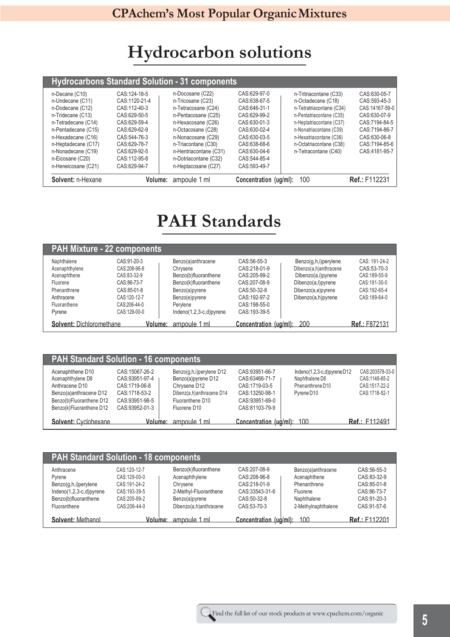# **Hydrocarbon solutions**

|                     |               | <b>Hydrocarbons Standard Solution - 31 components</b> |                        |                          |                      |
|---------------------|---------------|-------------------------------------------------------|------------------------|--------------------------|----------------------|
| n-Decane (C10)      | CAS:124-18-5  | n-Docosane (C22)                                      | CAS:629-97-0           | n-Tritriacontane (C33)   | CAS:630-05-7         |
| n-Undecane (C11)    | CAS:1120-21-4 | n-Tricosane (C23)                                     | CAS: 638-67-5          | n-Octadecane (C18)       | CAS: 593-45-3        |
| n-Dodecane (C12)    | CAS:112-40-3  | n-Tetracosane (C24)                                   | CAS:646-31-1           | n-Tetratriacontane (C34) | CAS:14167-59-0       |
| n-Tridecane (C13)   | CAS:629-50-5  | n-Pentacosane (C25)                                   | CAS:629-99-2           | n-Pentatriacontane (C35) | CAS:630-07-9         |
| n-Tetradecane (C14) | CAS:629-59-4  | n-Hexacosane (C26)                                    | CAS:630-01-3           | n-Heptatriacontane (C37) | CAS:7194-84-5        |
| n-Pentadecane (C15) | CAS:629-62-9  | n-Octacosane (C28)                                    | CAS:630-02-4           | n-Nonatriacontane (C39)  | CAS: 7194-86-7       |
| n-Hexadecane (C16)  | CAS:544-76-3  | n-Nonacosane (C29)                                    | CAS: 630-03-5          | n-Hexatriacontane (C36)  | CAS:630-06-8         |
| n-Heptadecane (C17) | CAS:629-78-7  | n-Triacontane (C30)                                   | CAS:638-68-6           | n-Octatriacontane (C38)  | CAS: 7194-85-6       |
| n-Nonadecane (C19)  | CAS:629-92-5  | n-Hentriacontane (C31)                                | CAS:630-04-6           | n-Tetracontane (C40)     | CAS: 4181-95-7       |
| n-Eicosane (C20)    | CAS:112-95-8  | n-Dotriacontane (C32)                                 | CAS: 544-85-4          |                          |                      |
| n-Heneicosane (C21) | CAS:629-94-7  | n-Heptacosane (C27)                                   | CAS: 593-49-7          |                          |                      |
| Solvent: n-Hexane   | Volume:       | ampoule 1 ml                                          | Concentration (ug/ml): | 100                      | <b>Ref.: F112231</b> |

# **PAH Standards**

|                          | <b>PAH Mixture - 22 components</b> |                             |                        |                        |                      |
|--------------------------|------------------------------------|-----------------------------|------------------------|------------------------|----------------------|
| Naphthalene              | CAS:91-20-3                        | Benzo(a)anthracene          | CAS: 56-55-3           | Benzo(g,h,i)perylene   | CAS: 191-24-2        |
| Acenaphthylene           | CAS:208-96-8                       | Chrysene                    | CAS: 218-01-9          | Dibenzo(a,h)anthracene | CAS:53-70-3          |
| Acenaphthene             | CAS:83-32-9                        | Benzo(b)fluoranthene        | CAS: 205-99-2          | Dibenzo(a,i)pyrene     | CAS:189-55-9         |
| Fluorene                 | CAS:86-73-7                        | Benzo(k)fluoranthene        | CAS: 207-08-9          | Dibenzo(a,l)pyrene     | CAS:191-30-0         |
| Phenanthrene             | CAS:85-01-8                        | Benzo(a)pyrene              | CAS: 50-32-8           | Dibenzo(a,e)pyrene     | CAS:192-65-4         |
| Anthracene               | CAS:120-12-7                       | Benzo(e)pyrene              | CAS: 192-97-2          | Dibenzo(a,h)pyrene     | CAS:189-64-0         |
| Fluoranthene             | CAS:206-44-0                       | Pervlene                    | CAS: 198-55-0          |                        |                      |
| Pyrene                   | CAS:129-00-0                       | Indeno $(1,2,3-c,d)$ pyrene | CAS: 193-39-5          |                        |                      |
| Solvent: Dichloromethane | Volume:                            | ampoule 1 ml                | Concentration (ug/ml): | 200                    | <b>Ref.: F872131</b> |

| <b>PAH Standard Solution - 16 components</b>                                                                                              |                                                                                                          |                                                                                                                                 |                                                                                                            |                                                                                                   |                                                                    |
|-------------------------------------------------------------------------------------------------------------------------------------------|----------------------------------------------------------------------------------------------------------|---------------------------------------------------------------------------------------------------------------------------------|------------------------------------------------------------------------------------------------------------|---------------------------------------------------------------------------------------------------|--------------------------------------------------------------------|
| Acenaphthene D10<br>Acenaphthylene D8<br>Anthracene D10<br>Benzo(a)anthracene D12<br>Benzo(b)Fluoranthene D12<br>Benzo(k)Fluoranthene D12 | CAS:15067-26-2<br>CAS: 93951-97-4<br>CAS:1719-06-8<br>CAS:1718-53-2<br>CAS: 93951-98-5<br>CAS:93952-01-3 | Benzo(g,h,i)perylene D12<br>Benzo(a)pyrene D12<br>Chrysene D12<br>Dibenz(a,h)anthracene D14<br>Fluoranthene D10<br>Fluorene D10 | CAS: 93951-66-7<br>CAS:63466-71-7<br>CAS: 1719-03-5<br>CAS: 13250-98-1<br>CAS:93951-69-0<br>CAS:81103-79-9 | Indeno $(1,2,3-c,d)$ pyrene $D12$<br>Naphthalene D8<br>Phenanthrene D10<br>Pyrene D <sub>10</sub> | CAS:203578-33-0<br>CAS:1146-65-2<br>CAS:1517-22-2<br>CAS:1718-52-1 |
| Solvent: Cyclohexane                                                                                                                      |                                                                                                          | Volume: ampoule 1 ml                                                                                                            | Concentration (ug/ml).                                                                                     | 100                                                                                               | <b>Ref.: F112491</b>                                               |

| <b>PAH Standard Solution - 18 components</b>                                                                      |                                                                                              |                                                                                                                         |                                                                                                 |                                                                                                      |                                                                                         |  |  |
|-------------------------------------------------------------------------------------------------------------------|----------------------------------------------------------------------------------------------|-------------------------------------------------------------------------------------------------------------------------|-------------------------------------------------------------------------------------------------|------------------------------------------------------------------------------------------------------|-----------------------------------------------------------------------------------------|--|--|
| Anthracene<br>Pyrene<br>Benzo(g,h,i)perylene<br>$Indeno(1,2,3-c,d)pyrene$<br>Benzo(b)fluoranthene<br>Fluoranthene | CAS:120-12-7<br>CAS:129-00-0<br>CAS:191-24-2<br>CAS:193-39-5<br>CAS:205-99-2<br>CAS:206-44-0 | Benzo(k)fluoranthene<br>Acenaphthylene<br>Chrysene<br>2-Methyl-Fluoranthene<br>Benzo(a)pyrene<br>Dibenzo(a,h)anthracene | CAS:207-08-9<br>CAS: 208-96-8<br>CAS:218-01-9<br>CAS: 33543-31-6<br>CAS: 50-32-8<br>CAS:53-70-3 | Benzo(a)anthracene<br>Acenaphthene<br>Phenanthrene<br>Fluorene<br>Naphthalene<br>2-Methylnaphthalene | CAS:56-55-3<br>CAS:83-32-9<br>CAS:85-01-8<br>CAS:86-73-7<br>CAS:91-20-3<br>CAS: 91-57-6 |  |  |
| Solvent: Methanol                                                                                                 | Volume:                                                                                      | ampoule 1 ml                                                                                                            | Concentration (ug/ml):                                                                          | 100                                                                                                  | Ref: F112201                                                                            |  |  |

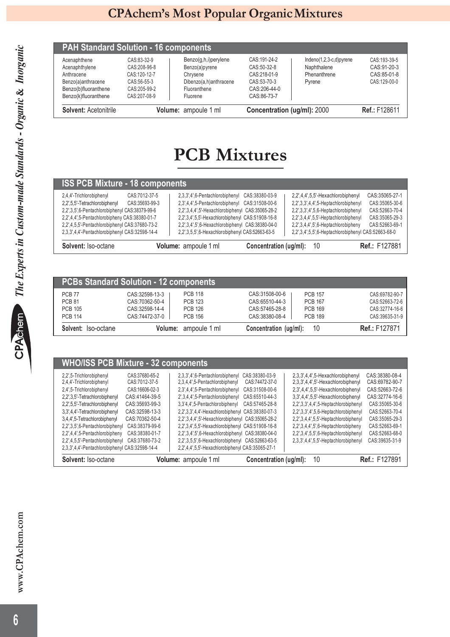| Solvent: Acetonitrile |              | Volume: ampoule 1 ml   | Concentration (ug/ml): 2000 |                           | <b>Ref.: F128611</b> |
|-----------------------|--------------|------------------------|-----------------------------|---------------------------|----------------------|
| Benzo(k)fluoranthene  | CAS:207-08-9 | Fluorene               | CAS:86-73-7                 |                           |                      |
| Benzo(b)fluoranthene  | CAS:205-99-2 | Fluoranthene           | CAS:206-44-0                |                           |                      |
| Benzo(a)anthracene    | CAS:56-55-3  | Dibenzo(a,h)anthracene | CAS:53-70-3                 | Pyrene                    | CAS:129-00-0         |
| Anthracene            | CAS:120-12-7 | Chrysene               | CAS:218-01-9                | Phenanthrene              | CAS:85-01-8          |
| Acenaphthylene        | CAS:208-96-8 | Benzo(a)pyrene         | CAS:50-32-8                 | Naphthalene               | CAS: 91-20-3         |
| Acenaphthene          | CAS:83-32-9  | Benzo(g,h,i)perylene   | CAS:191-24-2                | $Indeno(1,2,3-c,d)pyrene$ | CAS:193-39-5         |

# **PCB Mixtures**

| <b>ISS PCB Mixture - 18 components</b>                                                                                                                                                                                                                                                                 |                                                                                                                                                                                                                                                                                                                     |                           |                                                                                                                                                                                                                                                                     |                                                                                        |
|--------------------------------------------------------------------------------------------------------------------------------------------------------------------------------------------------------------------------------------------------------------------------------------------------------|---------------------------------------------------------------------------------------------------------------------------------------------------------------------------------------------------------------------------------------------------------------------------------------------------------------------|---------------------------|---------------------------------------------------------------------------------------------------------------------------------------------------------------------------------------------------------------------------------------------------------------------|----------------------------------------------------------------------------------------|
| 2,4,4'-Trichlorobiphenyl<br>CAS:7012-37-5<br>2.2',5,5'-Tetrachlorobiphenyl<br>CAS:35693-99-3<br>2.2', 3.5', 6-Pentachlorobiphenyl CAS: 38379-99-6<br>2.2',4,4',5-Pentachlorobipheny CAS:38380-01-7<br>2,2',4,5,5'-Pentachlorobiphenyl CAS:37680-73-2<br>2,3,3',4,4'-Pentachlorobiphenyl CAS:32598-14-4 | 2,3,3',4',6-Pentachlorobiphenyl CAS:38380-03-9<br>2.3',4,4',5-Pentachlorobiphenyl CAS:31508-00-6<br>2.2, 3.4.4, 5'-Hexachlorobiphenyl CAS: 35065-28-2<br>2.2', 3.4', 5.5'-Hexachlorobiphenyl CAS: 51908-16-8<br>2,2',3,4',5',6-Hexachlorobiphenyl CAS:38380-04-0<br>2,2',3,5,5',6-Hexachlorobiphenyl CAS:52663-63-5 |                           | 2.2',4,4',5,5'-Hexachlorobiphenyl<br>2.2', 3.3', 4.4', 5-Heptachlorobiphenyl<br>2,2',3,3',4',5,6-Heptachlorobiphenyl<br>2.2', 3.4.4', 5.5'-Heptachlorobiphenyl<br>$2,2',3,4,4',5',6$ -Heptachlorobipheny<br>2.2', 3.4', 5.5', 6-Heptachlorobiphenyl CAS: 52663-68-0 | CAS:35065-27-1<br>CAS:35065-30-6<br>CAS:52663-70-4<br>CAS:35065-29-3<br>CAS:52663-69-1 |
| Solvent: Iso-octane                                                                                                                                                                                                                                                                                    | Volume: ampoule 1 ml                                                                                                                                                                                                                                                                                                | Concentration (ug/ml): 10 |                                                                                                                                                                                                                                                                     | <b>Ref.: F127881</b>                                                                   |

| <b>PCBs Standard Solution - 12 components</b> |                 |                      |                        |                |                      |
|-----------------------------------------------|-----------------|----------------------|------------------------|----------------|----------------------|
| <b>PCB 77</b>                                 | CAS: 32598-13-3 | <b>PCB 118</b>       | CAS:31508-00-6         | <b>PCB 157</b> | CAS:69782-90-7       |
| <b>PCB 81</b>                                 | CAS:70362-50-4  | <b>PCB 123</b>       | CAS:65510-44-3         | <b>PCB 167</b> | CAS:52663-72-6       |
| <b>PCB 105</b>                                | CAS:32598-14-4  | <b>PCB 126</b>       | CAS:57465-28-8         | <b>PCB 169</b> | CAS:32774-16-6       |
| <b>PCB 114</b>                                | CAS:74472-37-0  | <b>PCB 156</b>       | CAS:38380-08-4         | <b>PCB 189</b> | CAS:39635-31-9       |
| Solvent: Iso-octane                           |                 | Volume: ampoule 1 ml | Concentration (ug/ml): | 10             | <b>Ref.: F127871</b> |

|  |  | <b>WHO/ISS PCB Mixture - 32 components</b> |
|--|--|--------------------------------------------|
|--|--|--------------------------------------------|

| Solvent: Iso-octane                            |                 | Volume: ampoule 1 ml                                | Concentration (ug/ml): | 10                                      | <b>Ref.: F127891</b> |
|------------------------------------------------|-----------------|-----------------------------------------------------|------------------------|-----------------------------------------|----------------------|
| 2.3.3',4.4'-Pentachlorobiphenyl CAS:32598-14-4 |                 | 2,2',4,4',5,5'-Hexachlorobiphenyl CAS:35065-27-1    |                        |                                         |                      |
| 2,2',4,5,5'-Pentachlorobiphenyl                | CAS:37680-73-2  | 2,2',3,5,5',6-Hexachlorobiphenyl CAS:52663-63-5     |                        | 2,3,3',4,4',5,5'-Heptachlorobiphenyl    | CAS:39635-31-9       |
| 2,2',4,4',5-Pentachlorobipheny                 | CAS:38380-01-7  | 2,2',3,4',5',6-Hexachlorobiphenyl CAS:38380-04-0    |                        | $2,2',3,4',5,5',6$ -Heptachlorobiphenyl | CAS:52663-68-0       |
| 2.2', 3.5', 6-Pentachlorobiphenyl              | CAS:38379-99-6  | 2,2',3,4',5,5'-Hexachlorobiphenyl CAS:51908-16-8    |                        | 2.2', 3.4.4', 5', 6-Heptachlorobipheny  | CAS:52663-69-1       |
| 3.4.4',5-Tetrachlorobiphenyl                   | CAS:70362-50-4  | 2,2',3,4,4',5'-Hexachlorobiphenyl CAS:35065-28-2    |                        | 2,2',3,4,4',5,5'-Heptachlorobiphenyl    | CAS:35065-29-3       |
| 3.3',4,4'-Tetrachlorobiphenyl                  | CAS: 32598-13-3 | 2.2', 3.3', 4.4'-Hexachlorobiphenyl CAS: 38380-07-3 |                        | 2,2',3,3',4',5,6-Heptachlorobiphenyl    | CAS:52663-70-4       |
| 2,2',5,5'-Tetrachlorobiphenyl                  | CAS: 35693-99-3 | 3,3'4,4',5-Pentachlorobiphenyl                      | CAS:57465-28-8         | $2,2',3,3',4,4',5$ -Heptachlorobiphenyl | CAS:35065-30-6       |
| 2.2', 3.5'-Tetrachlorobiphenyl                 | CAS: 41464-39-5 | 2', 3, 4, 4', 5-Pentachlorobiphenyl                 | CAS:65510-44-3         | 3,3',4,4',5,5'-Hexachlorobiphenyl       | CAS: 32774-16-6      |
| 2.4',5-Trichlorobiphenyl                       | CAS:16606-02-3  | 2,3',4,4',5-Pentachlorobiphenyl                     | CAS:31508-00-6         | 2,3',4,4',5,5'-Hexachlorobiphenyl       | CAS:52663-72-6       |
| 2,4,4'-Trichlorobiphenyl                       | CAS:7012-37-5   | 2,3,4,4',5-Pentachlorobiphenyl                      | CAS:74472-37-0         | 2,3,3',4,4',5'-Hexachlorobiphenyl       | CAS:69782-90-7       |
| 2.2',5-Trichlorobiphenyl                       | CAS:37680-65-2  | 2,3,3',4',6-Pentachlorobiphenyl                     | CAS:38380-03-9         | 2,3,3',4,4',5-Hexachlorobiphenyl        | CAS: 38380-08-4      |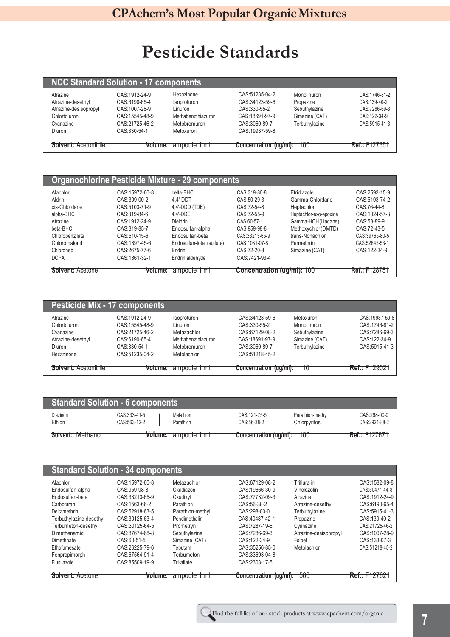# **Pesticide Standards**

| <b>NCC Standard Solution - 17 components</b>                                                  |                                                                                                      |                                                                                         |                                                                                                            |                                                                               |                                                                                 |  |  |
|-----------------------------------------------------------------------------------------------|------------------------------------------------------------------------------------------------------|-----------------------------------------------------------------------------------------|------------------------------------------------------------------------------------------------------------|-------------------------------------------------------------------------------|---------------------------------------------------------------------------------|--|--|
| Atrazine<br>Atrazine-desethyl<br>Atrazine-desisopropyl<br>Chlortoluron<br>Cyanazine<br>Diuron | CAS:1912-24-9<br>CAS:6190-65-4<br>CAS:1007-28-9<br>CAS: 15545-48-9<br>CAS:21725-46-2<br>CAS:330-54-1 | Hexazinone<br>Isoproturon<br>Linuron<br>Methabenzthiazuron<br>Metobromuron<br>Metoxuron | CAS: 51235-04-2<br>CAS: 34123-59-6<br>CAS: 330-55-2<br>CAS:18691-97-9<br>CAS: 3060-89-7<br>CAS: 19937-59-8 | Monolinuron<br>Propazine<br>Sebuthylazine<br>Simazine (CAT)<br>Terbuthylazine | CAS:1746-81-2<br>CAS:139-40-2<br>CAS:7286-69-3<br>CAS:122-34-9<br>CAS:5915-41-3 |  |  |
| <b>Solvent: Acetonitrile</b>                                                                  | Volume:                                                                                              | ampoule 1 mH                                                                            | Concentration (ug/ml):                                                                                     | 100                                                                           | <b>Ref.: F127651</b>                                                            |  |  |

| <b>Organochlorine Pesticide Mixture - 29 components</b> |                 |                            |                                   |                        |                      |  |  |  |
|---------------------------------------------------------|-----------------|----------------------------|-----------------------------------|------------------------|----------------------|--|--|--|
| Alachlor                                                | CAS: 15972-60-8 | delta-BHC                  | CAS:319-86-8                      | Etridiazole            | CAS: 2593-15-9       |  |  |  |
| Aldrin                                                  | CAS: 309-00-2   | 4.4'-DDT                   | CAS:50-29-3                       | Gamma-Chlordane        | CAS:5103-74-2        |  |  |  |
| cis-Chlordane                                           | CAS:5103-71-9   | 4,4'-DDD (TDE)             | CAS:72-54-8                       | Heptachlor             | CAS:76-44-8          |  |  |  |
| alpha-BHC                                               | CAS:319-84-6    | 4.4'-DDE                   | CAS:72-55-9                       | Heptachlor-exo-epoxide | CAS: 1024-57-3       |  |  |  |
| Atrazine                                                | CAS:1912-24-9   | <b>Dieldrin</b>            | CAS:60-57-1                       | Gamma-HCH(Lindane)     | CAS:58-89-9          |  |  |  |
| beta-BHC                                                | CAS: 319-85-7   | Endosulfan-alpha           | CAS: 959-98-8                     | Methoxychlor (DMTD)    | CAS: 72-43-5         |  |  |  |
| Chlorobenzilate                                         | CAS:510-15-6    | Endosulfan-beta            | CAS:33213-65-9                    | trans-Nonachlor        | CAS:39765-80-5       |  |  |  |
| Chlorothalonil                                          | CAS: 1897-45-6  | Endosulfan-total (sulfate) | CAS:1031-07-8                     | Permethrin             | CAS:52645-53-1       |  |  |  |
| Chloroneb                                               | CAS:2675-77-6   | Endrin                     | CAS:72-20-8                       | Simazine (CAT)         | CAS 122-34-9         |  |  |  |
| <b>DCPA</b>                                             | CAS: 1861-32-1  | Endrin aldehyde            | CAS:7421-93-4                     |                        |                      |  |  |  |
| <b>Solvent: Acetone</b>                                 | Volume:         | ampoule 1 ml               | <b>Concentration (ug/ml): 100</b> |                        | <b>Ref.: F128751</b> |  |  |  |

| <b>Pesticide Mix - 17 components</b> |                 |                      |                        |                |                      |
|--------------------------------------|-----------------|----------------------|------------------------|----------------|----------------------|
| Atrazine                             | CAS: 1912-24-9  | Isoproturon          | CAS: 34123-59-6        | Metoxuron      | CAS:19937-59-8       |
| Chlortoluron                         | CAS: 15545-48-9 | Linuron              | CAS:330-55-2           | Monolinuron    | CAS: 1746-81-2       |
| Cyanazine                            | CAS:21725-46-2  | Metazachlor          | CAS: 67129-08-2        | Sebuthylazine  | CAS:7286-69-3        |
| Atrazine-desethyl                    | CAS:6190-65-4   | Methabenzthiazuron   | CAS:18691-97-9         | Simazine (CAT) | CAS: 122-34-9        |
| <b>Diuron</b>                        | CAS:330-54-1    | Metobromuron         | CAS: 3060-89-7         | Terbuthylazine | CAS:5915-41-3        |
| Hexazinone                           | CAS:51235-04-2  | Metolachlor          | CAS: 51218-45-2        |                |                      |
| <b>Solvent: Acetonitrile</b>         |                 | Volume: ampoule 1 ml | Concentration (ug/ml): | 10             | <b>Ref.: F129021</b> |

| <b>Standard Solution - 6 components</b> |                              |                        |                             |                                  |                               |  |
|-----------------------------------------|------------------------------|------------------------|-----------------------------|----------------------------------|-------------------------------|--|
| Diazinon<br>Ethion                      | CAS:333-41-5<br>CAS:563-12-2 | Malathion<br>Parathion | CAS:121-75-5<br>CAS:56-38-2 | Parathion-methyl<br>Chlorpyrifos | CAS:298-00-0<br>CAS:2921-88-2 |  |
| Solvent: Methanol                       |                              | Volume: ampoule 1 ml   | Concentration (ug/ml):      | 100                              | <b>Ref.: F127671</b>          |  |

| <b>Standard Solution - 34 components</b>                                                                                        |                                                                                                                              |                                                                                                     |                                                                                                                          |                                                                                                         |                                                                                                                          |
|---------------------------------------------------------------------------------------------------------------------------------|------------------------------------------------------------------------------------------------------------------------------|-----------------------------------------------------------------------------------------------------|--------------------------------------------------------------------------------------------------------------------------|---------------------------------------------------------------------------------------------------------|--------------------------------------------------------------------------------------------------------------------------|
| Alachlor<br>Endosulfan-alpha<br>Endosulfan-beta<br>Carbofuran<br>Deltamethrin<br>Terbuthylazine-desethyl<br>Terbumeton-desethyl | CAS: 15972-60-8<br>CAS: 959-98-8<br>CAS: 33213-65-9<br>CAS: 1563-66-2<br>CAS: 52918-63-5<br>CAS:30125-63-4<br>CAS:30125-64-5 | Metazachlor<br>Oxadiazon<br>Oxadixvl<br>Parathion<br>Parathion-methyl<br>Pendimethalin<br>Prometryn | CAS:67129-08-2<br>CAS: 19666-30-9<br>CAS:77732-09-3<br>CAS: 56-38-2<br>CAS:298-00-0<br>CAS: 40487-42-1<br>CAS: 7287-19-6 | Trifluralin<br>Vinclozolin<br>Atrazine<br>Atrazine-desethyl<br>Terbuthylazine<br>Propazine<br>Cyanazine | CAS: 1582-09-8<br>CAS:50471-44-8<br>CAS: 1912-24-9<br>CAS:6190-65-4<br>CAS: 5915-41-3<br>CAS: 139-40-2<br>CAS:21725-46-2 |
| Dimethenamid<br>Dimethoate<br>Ethofumesate<br>Fenpropimorph<br>Flusilazole                                                      | CAS:87674-68-8<br>CAS:60-51-5<br>CAS: 26225-79-6<br>CAS:67564-91-4<br>CAS:85509-19-9                                         | Sebuthylazine<br>Simazine (CAT)<br>Tebutam<br>Terbumeton<br>Tri-allate                              | CAS: 7286-69-3<br>CAS: 122-34-9<br>CAS: 35256-85-0<br>CAS:33693-04-8<br>CAS: 2303-17-5                                   | Atrazine-desisopropyl<br>Folpet<br>Metolachlor                                                          | CAS: 1007-28-9<br>CAS: 133-07-3<br>CAS:51218-45-2                                                                        |
| <b>Solvent: Acetone</b>                                                                                                         | Volume:                                                                                                                      | ampoule 1 ml                                                                                        | Concentration (ug/ml):                                                                                                   | 500                                                                                                     | <b>Ref.: F127621</b>                                                                                                     |

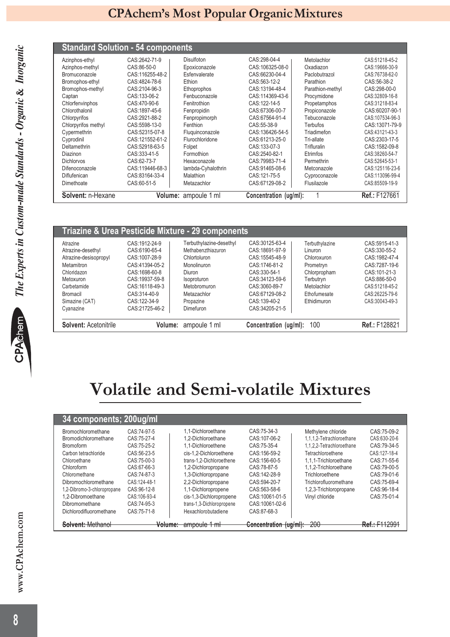### **Standard Solution - 54 components**

| Solvent: n-Hexane   |                  | Volume: ampoule 1 ml | Concentration (ug/ml): |                  | <b>Ref.: F127661</b> |
|---------------------|------------------|----------------------|------------------------|------------------|----------------------|
| Dimethoate          | CAS:60-51-5      | Metazachlor          | CAS:67129-08-2         | Flusilazole      | CAS:85509-19-9       |
| Diflufenican        | CAS:83164-33-4   | Malathion            | CAS:121-75-5           | Cyproconazole    | CAS:113096-99-4      |
| Difenoconazole      | CAS:119446-68-3  | lambda-Cyhalothrin   | CAS:91465-08-6         | Metconazole      | CAS:125116-23-6      |
| <b>Dichlorvos</b>   | CAS:62-73-7      | Hexaconazole         | CAS:79983-71-4         | Permethrin       | CAS:52645-53-1       |
| Diazinon            | CAS: 333-41-5    | Formothion           | CAS:2540-82-1          | Etrimfos         | CAS:38260-54-7       |
| Deltamethrin        | CAS:52918-63-5   | Folpet               | CAS:133-07-3           | Trifluralin      | CAS: 1582-09-8       |
| Cyprodinil          | CAS: 121552-61-2 | Flurochloridone      | CAS:61213-25-0         | Tri-allate       | CAS: 2303-17-5       |
| Cypermethrin        | CAS:52315-07-8   | Fluquinconazole      | CAS:136426-54-5        | Triadimefon      | CAS:43121-43-3       |
| Chlorpyrifos methyl | CAS:5598-13-0    | Fenthion             | CAS:55-38-9            | <b>Terbufos</b>  | CAS: 13071-79-9      |
| Chlorpyrifos        | CAS:2921-88-2    | Fenpropimorph        | CAS:67564-91-4         | Tebuconazole     | CAS:107534-96-3      |
| Chlorothalonil      | CAS: 1897-45-6   | Fenpropidin          | CAS:67306-00-7         | Propiconazole    | CAS:60207-90-1       |
| Chlorfenvinphos     | CAS:470-90-6     | Fenitrothion         | CAS:122-14-5           | Propetamphos     | CAS:31218-83-4       |
| Captan              | CAS: 133-06-2    | Fenbuconazole        | CAS:114369-43-6        | Procymidone      | CAS:32809-16-8       |
| Bromophos-methyl    | CAS:2104-96-3    | Ethoprophos          | CAS:13194-48-4         | Parathion-methyl | CAS:298-00-0         |
| Bromophos-ethyl     | CAS: 4824-78-6   | Ethion               | CAS:563-12-2           | Parathion        | CAS: 56-38-2         |
| Bromuconazole       | CAS:116255-48-2  | Esfenvalerate        | CAS:66230-04-4         | Paclobutrazol    | CAS:76738-62-0       |
| Azinphos-methyl     | CAS:86-50-0      | Epoxiconazole        | CAS:106325-08-0        | Oxadiazon        | CAS:19666-30-9       |
| Azinphos-ethyl      | CAS:2642-71-9    | Disulfoton           | CAS:298-04-4           | Metolachlor      | CAS:51218-45-2       |

|                       |                 | <b>Triazine &amp; Urea Pesticide Mixture - 29 components</b> |                        |                |                |
|-----------------------|-----------------|--------------------------------------------------------------|------------------------|----------------|----------------|
| Atrazine              | CAS: 1912-24-9  | Terbuthylazine-desethyl                                      | CAS:30125-63-4         | Terbuthylazine | CAS: 5915-41-3 |
| Atrazine-desethyl     | CAS:6190-65-4   | Methabenzthiazuron                                           | CAS:18691-97-9         | Linuron        | CAS: 330-55-2  |
| Atrazine-desisopropyl | CAS: 1007-28-9  | Chlortoluron                                                 | CAS: 15545-48-9        | Chloroxuron    | CAS: 1982-47-4 |
| Metamitron            | CAS:41394-05-2  | Monolinuron                                                  | CAS:1746-81-2          | Prometryn      | CAS: 7287-19-6 |
| Chloridazon           | CAS: 1698-60-8  | Diuron                                                       | CAS:330-54-1           | Chlorpropham   | CAS: 101-21-3  |
| Metoxuron             | CAS: 19937-59-8 | Isoproturon                                                  | CAS:34123-59-6         | Terbutryn      | CAS:886-50-0   |
| Carbetamide           | CAS: 16118-49-3 | Metobromuron                                                 | CAS:3060-89-7          | Metolachlor    | CAS:51218-45-2 |
| <b>Bromacil</b>       | CAS: 314-40-9   | Metazachlor                                                  | CAS:67129-08-2         | Ethofumesate   | CAS:26225-79-6 |
| Simazine (CAT)        | CAS: 122-34-9   | Propazine                                                    | CAS:139-40-2           | Ethidimuron    | CAS:30043-49-3 |
| Cyanazine             | CAS: 21725-46-2 | Dimefuron                                                    | CAS:34205-21-5         |                |                |
| Solvent: Acetonitrile | Volume:         | ampoule 1 ml                                                 | Concentration (ug/ml): | 100            | Ref.: F128821  |

# **Volatile and Semi-volatile Mixtures**

| 34 components; 200ug/ml     |              |                           |                        |                           |               |
|-----------------------------|--------------|---------------------------|------------------------|---------------------------|---------------|
| Bromochloromethane          | CAS:74-97-5  | 1.1-Dichloroethane        | CAS: 75-34-3           | Methylene chloride        | CAS: 75-09-2  |
| <b>Bromodichloromethane</b> | CAS:75-27-4  | 1.2-Dichloroethane        | CAS:107-06-2           | 1.1.1.2-Tetrachloroethane | CAS:630-20-6  |
| <b>Bromoform</b>            | CAS:75-25-2  | 1.1-Dichloroethene        | CAS: 75-35-4           | 1.1.2.2-Tetrachloroethane | CAS: 79-34-5  |
| Carbon tetrachloride        | CAS:56-23-5  | cis-1.2-Dichloroethene    | CAS: 156-59-2          | Tetrachloroethene         | CAS:127-18-4  |
| Chloroethane                | CAS:75-00-3  | trans-1.2-Dichloroethene  | CAS: 156-60-5          | 1.1.1-Trichloroethane     | CAS: 71-55-6  |
| Chloroform                  | CAS:67-66-3  | 1,2-Dichloropropane       | CAS: 78-87-5           | 1.1.2-Trichloroethane     | CAS:79-00-5   |
| Chloromethane               | CAS:74-87-3  | 1,3-Dichloropropane       | CAS: 142-28-9          | Trichloroethene           | CAS: 79-01-6  |
| Dibromochloromethane        | CAS:124-48-1 | 2,2-Dichloropropane       | CAS: 594-20-7          | Trichlorofluoromethane    | CAS: 75-69-4  |
| 1,2-Dibromo-3-chloropropane | CAS: 96-12-8 | 1,1-Dichloropropene       | CAS:563-58-6           | 1,2,3-Trichloropropane    | CAS: 96-18-4  |
| 1.2-Dibromoethane           | CAS:106-93-4 | cis-1,3-Dichloropropene   | CAS:10061-01-5         | Vinyl chloride            | CAS: 75-01-4  |
| Dibromomethane              | CAS:74-95-3  | trans-1,3-Dichloropropene | CAS:10061-02-6         |                           |               |
| Dichlorodifluoromethane     | CAS:75-71-8  | Hexachlorobutadiene       | CAS:87-68-3            |                           |               |
| <b>Solvent: Methanol</b>    | Volume:      | ampoule 1 ml              | Concentration (ug/ml): | $-200$                    | Ref.: F112991 |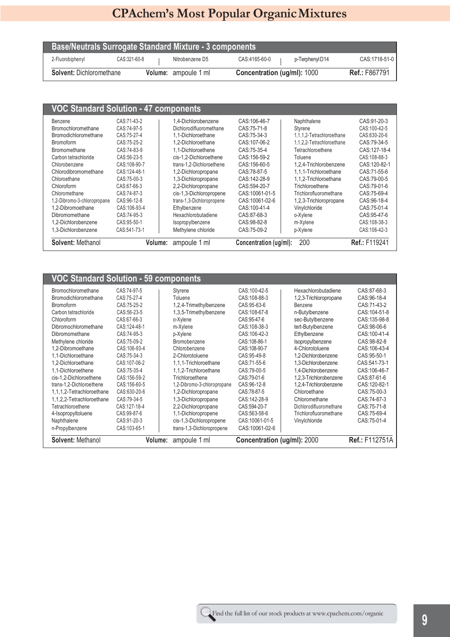| <b>Base/Neutrals Surrogate Standard Mixture - 3 components</b> |              |  |                      |                                    |                |                      |
|----------------------------------------------------------------|--------------|--|----------------------|------------------------------------|----------------|----------------------|
| 2-Fluorobiphenyl                                               | CAS:321-60-8 |  | Nitrobenzene D5      | CAS:4165-60-0                      | p-TerphenylD14 | CAS: 1718-51-0       |
| <b>Solvent: Dichloromethane</b>                                |              |  | Volume: ampoule 1 ml | <b>Concentration (ug/ml): 1000</b> |                | <b>Ref.: F867791</b> |

| <b>Solvent: Methanol</b>    | Volume:      | ampoule 1 ml              | Concentration (ug/ml): | 200                       | Ref.: F119241 |
|-----------------------------|--------------|---------------------------|------------------------|---------------------------|---------------|
| 1.3-Dichlorobenzene         | CAS:541-73-1 | Methylene chloride        | CAS: 75-09-2           | p-Xylene                  | CAS:106-42-3  |
| 1,2-Dichlorobenzene         | CAS:95-50-1  | Isopropylbenzene          | CAS: 98-82-8           | m-Xylene                  | CAS:108-38-3  |
| Dibromomethane              | CAS:74-95-3  | Hexachlorobutadiene       | CAS:87-68-3            | o-Xylene                  | CAS: 95-47-6  |
| 1,2-Dibromoethane           | CAS:106-93-4 | Ethylbenzene              | CAS: 100-41-4          | Vinylchloride             | CAS:75-01-4   |
| 1,2-Dibromo-3-chloropropane | CAS:96-12-8  | trans-1,3-Dichloropropene | CAS: 10061-02-6        | 1,2,3-Trichloropropane    | CAS: 96-18-4  |
| Chloromethane               | CAS:74-87-3  | cis-1,3-Dichloropropene   | CAS: 10061-01-5        | Trichlorofluoromethane    | CAS:75-69-4   |
| Chloroform                  | CAS:67-66-3  | 2,2-Dichloropropane       | CAS: 594-20-7          | Trichloroethene           | CAS:79-01-6   |
| Chloroethane                | CAS:75-00-3  | 1,3-Dichloropropane       | CAS: 142-28-9          | 1,1,2-Trichloroethane     | CAS:79-00-5   |
| Chlorodibromomethane        | CAS:124-48-1 | 1,2-Dichloropropane       | CAS:78-87-5            | 1.1.1-Trichloroethane     | CAS:71-55-6   |
| Chlorobenzene               | CAS:108-90-7 | trans-1.2-Dichloroethene  | CAS: 156-60-5          | 1,2,4-Trichlorobenzene    | CAS: 120-82-1 |
| Carbon tetrachloride        | CAS:56-23-5  | cis-1.2-Dichloroethene    | CAS: 156-59-2          | Toluene                   | CAS:108-88-3  |
| Bromomethane                | CAS:74-83-9  | 1.1-Dichloroethene        | CAS: 75-35-4           | Tetrachloroethene         | CAS: 127-18-4 |
| <b>Bromoform</b>            | CAS:75-25-2  | 1.2-Dichloroethane        | CAS: 107-06-2          | 1.1.2.2-Tetrachloroethane | CAS:79-34-5   |
| <b>Bromodichloromethane</b> | CAS:75-27-4  | 1.1-Dichloroethane        | CAS: 75-34-3           | 1.1.1.2-Tetrachloroethane | CAS:630-20-6  |
| Bromochloromethane          | CAS:74-97-5  | Dichlorodifluoromethane   | CAS: 75-71-8           | Styrene                   | CAS:100-42-5  |
| Benzene                     | CAS:71-43-2  | 1,4-Dichlorobenzene       | CAS: 106-46-7          | Naphthalene               | CAS: 91-20-3  |

| <b>VOC Standard Solution - 59 components</b> |              |                             |                             |                         |                |
|----------------------------------------------|--------------|-----------------------------|-----------------------------|-------------------------|----------------|
| Bromochloromethane                           | CAS:74-97-5  | Styrene                     | CAS:100-42-5                | Hexachlorobutadiene     | CAS:87-68-3    |
| Bromodichloromethane                         | CAS:75-27-4  | Toluene                     | CAS:108-88-3                | 1,2,3-Trichloropropane  | CAS: 96-18-4   |
| <b>Bromoform</b>                             | CAS:75-25-2  | 1,2,4-Trimethylbenzene      | CAS: 95-63-6                | Benzene                 | CAS:71-43-2    |
| Carbon tetrachloride                         | CAS:56-23-5  | 1,3,5-Trimethylbenzene      | CAS:108-67-8                | n-Butylbenzene          | CAS: 104-51-8  |
| Chloroform                                   | CAS:67-66-3  | o-Xylene                    | CAS: 95-47-6                | sec-Butylbenzene        | CAS: 135-98-8  |
| Dibromochloromethane                         | CAS:124-48-1 | m-Xylene                    | CAS:108-38-3                | tert-Butylbenzene       | CAS:98-06-6    |
| Dibromomethane                               | CAS:74-95-3  | p-Xylene                    | CAS:106-42-3                | Ethylbenzene            | CAS: 100-41-4  |
| Methylene chloride                           | CAS:75-09-2  | Bromobenzene                | CAS:108-86-1                | Isopropylbenzene        | CAS:98-82-8    |
| 1,2-Dibromoethane                            | CAS:106-93-4 | Chlorobenzene               | CAS:108-90-7                | 4-Chlorotoluene         | CAS: 106-43-4  |
| 1.1-Dichloroethane                           | CAS:75-34-3  | 2-Chlorotoluene             | CAS: 95-49-8                | 1,2-Dichlorobenzene     | CAS: 95-50-1   |
| 1.2-Dichloroethane                           | CAS:107-06-2 | 1,1,1-Trichloroethane       | CAS:71-55-6                 | 1.3-Dichlorobenzene     | CAS:541-73-1   |
| 1.1-Dichloroethene                           | CAS:75-35-4  | 1,1,2-Trichloroethane       | CAS:79-00-5                 | 1,4-Dichlorobenzene     | CAS: 106-46-7  |
| cis-1.2-Dichloroethene                       | CAS:156-59-2 | Trichloroethene             | CAS:79-01-6                 | 1,2,3-Trichlorobenzene  | CAS:87-61-6    |
| trans-1,2-Dichloroethene                     | CAS:156-60-5 | 1,2-Dibromo-3-chloropropane | CAS: 96-12-8                | 1,2,4-Trichlorobenzene  | CAS: 120-82-1  |
| 1,1,1,2-Tetrachloroethane                    | CAS:630-20-6 | 1,2-Dichloropropane         | CAS:78-87-5                 | Chloroethane            | CAS:75-00-3    |
| 1,1,2,2-Tetrachloroethane                    | CAS:79-34-5  | 1,3-Dichloropropane         | CAS:142-28-9                | Chloromethane           | CAS:74-87-3    |
| Tetrachloroethene                            | CAS:127-18-4 | 2,2-Dichloropropane         | CAS:594-20-7                | Dichlorodifluoromethane | CAS: 75-71-8   |
| 4-Isopropyltoluene                           | CAS:99-87-6  | 1,1-Dichloropropene         | CAS:563-58-6                | Trichlorofluoromethane  | CAS:75-69-4    |
| Naphthalene                                  | CAS:91-20-3  | cis-1,3-Dichloropropene     | CAS:10061-01-5              | Vinylchloride           | CAS:75-01-4    |
| n-Propylbenzene                              | CAS:103-65-1 | trans-1,3-Dichloropropene   | CAS:10061-02-6              |                         |                |
| Solvent: Methanol                            | Volume:      | ampoule 1 ml                | Concentration (ug/ml): 2000 |                         | Ref.: F112751A |

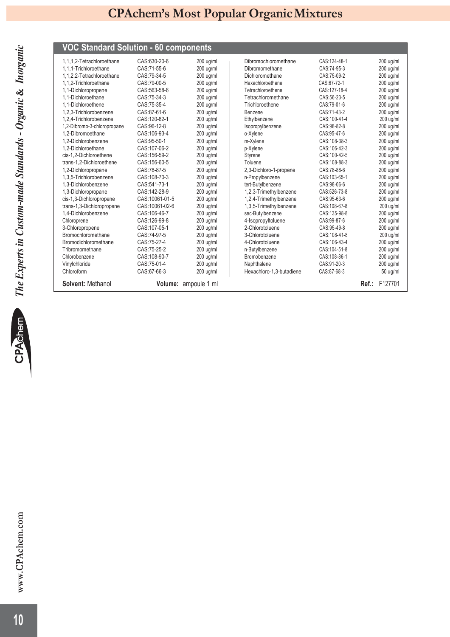# *The Experts in Custom-made Standards - Organic*  **&** *Inorganic*

| <b>VOC Standard Solution - 60 components</b> |                |                      |                          |              |       |             |
|----------------------------------------------|----------------|----------------------|--------------------------|--------------|-------|-------------|
| 1.1.1.2-Tetrachloroethane                    | CAS:630-20-6   | $200$ ug/ml          | Dibromochloromethane     | CAS:124-48-1 |       | 200 ug/ml   |
| 1.1.1-Trichloroethane                        | CAS:71-55-6    | 200 ug/ml            | Dibromomethane           | CAS:74-95-3  |       | 200 ug/ml   |
| 1,1,2,2-Tetrachloroethane                    | CAS:79-34-5    | $200$ ug/ml          | Dichloromethane          | CAS:75-09-2  |       | $200$ ug/ml |
| 1.1.2-Trichloroethane                        | CAS:79-00-5    | 200 ug/ml            | Hexachloroethane         | CAS:67-72-1  |       | 200 ug/ml   |
| 1.1-Dichloropropene                          | CAS:563-58-6   | 200 ug/ml            | Tetrachloroethene        | CAS:127-18-4 |       | 200 ug/ml   |
| 1.1-Dichloroethane                           | CAS:75-34-3    | 200 ug/ml            | Tetrachloromethane       | CAS:56-23-5  |       | 200 ug/ml   |
| 1.1-Dichloroethene                           | CAS:75-35-4    | 200 ug/ml            | Trichloroethene          | CAS:79-01-6  |       | 200 ug/ml   |
| 1.2.3-Trichlorobenzene                       | CAS:87-61-6    | 200 ug/ml            | Benzene                  | CAS:71-43-2  |       | 200 ug/ml   |
| 1,2,4-Trichlorobenzene                       | CAS:120-82-1   | 200 ug/ml            | Ethylbenzene             | CAS:100-41-4 |       | 200 ug/ml   |
| 1,2-Dibromo-3-chloropropane                  | CAS:96-12-8    | $200$ ug/ml          | Isopropylbenzene         | CAS:98-82-8  |       | $200$ ug/ml |
| 1.2-Dibromoethane                            | CAS:106-93-4   | 200 ug/ml            | o-Xylene                 | CAS: 95-47-6 |       | 200 ug/ml   |
| 1.2-Dichlorobenzene                          | CAS:95-50-1    | 200 ug/ml            | m-Xylene                 | CAS:108-38-3 |       | 200 ug/ml   |
| 1.2-Dichloroethane                           | CAS:107-06-2   | $200$ ug/ml          | p-Xylene                 | CAS:106-42-3 |       | $200$ ug/ml |
| cis-1,2-Dichloroethene                       | CAS: 156-59-2  | $200$ ug/ml          | Styrene                  | CAS:100-42-5 |       | $200$ ug/ml |
| trans-1,2-Dichloroethene                     | CAS: 156-60-5  | 200 ug/ml            | Toluene                  | CAS:108-88-3 |       | 200 ug/ml   |
| 1,2-Dichloropropane                          | CAS:78-87-5    | 200 ug/ml            | 2,3-Dichloro-1-propene   | CAS:78-88-6  |       | 200 ug/ml   |
| 1.3.5-Trichlorobenzene                       | CAS:108-70-3   | 200 ug/ml            | n-Propylbenzene          | CAS:103-65-1 |       | 200 ug/ml   |
| 1,3-Dichlorobenzene                          | CAS:541-73-1   | $200$ ug/ml          | tert-Butylbenzene        | CAS:98-06-6  |       | $200$ ug/ml |
| 1.3-Dichloropropane                          | CAS:142-28-9   | $200$ ug/ml          | 1,2,3-Trimethylbenzene   | CAS:526-73-8 |       | $200$ ug/ml |
| cis-1,3-Dichloropropene                      | CAS:10061-01-5 | 200 ug/ml            | 1,2,4-Trimethylbenzene   | CAS: 95-63-6 |       | 200 ug/ml   |
| trans-1,3-Dichloropropene                    | CAS:10061-02-6 | 200 ug/ml            | 1,3,5-Trimethylbenzene   | CAS:108-67-8 |       | 200 ug/ml   |
| 1,4-Dichlorobenzene                          | CAS:106-46-7   | 200 ug/ml            | sec-Butylbenzene         | CAS:135-98-8 |       | $200$ ug/ml |
| Chloroprene                                  | CAS:126-99-8   | $200$ ug/ml          | 4-Isopropyltoluene       | CAS:99-87-6  |       | $200$ ug/ml |
| 3-Chloropropene                              | CAS:107-05-1   | 200 ug/ml            | 2-Chlorotoluene          | CAS:95-49-8  |       | 200 ug/ml   |
| Bromochloromethane                           | CAS:74-97-5    | 200 ug/ml            | 3-Chlorotoluene          | CAS:108-41-8 |       | 200 ug/ml   |
| Bromodichloromethane                         | CAS:75-27-4    | 200 ug/ml            | 4-Chlorotoluene          | CAS:106-43-4 |       | 200 ug/ml   |
| Tribromomethane                              | CAS:75-25-2    | 200 ug/ml            | n-Butylbenzene           | CAS:104-51-8 |       | 200 ug/ml   |
| Chlorobenzene                                | CAS:108-90-7   | 200 ug/ml            | Bromobenzene             | CAS:108-86-1 |       | 200 ug/ml   |
| Vinylchloride                                | CAS:75-01-4    | 200 ug/ml            | Naphthalene              | CAS:91-20-3  |       | 200 ug/ml   |
| Chloroform                                   | CAS:67-66-3    | 200 ug/ml            | Hexachloro-1.3-butadiene | CAS:87-68-3  |       | 50 ug/ml    |
| Solvent: Methanol                            |                | Volume: ampoule 1 ml |                          |              | Ref.: | F127701     |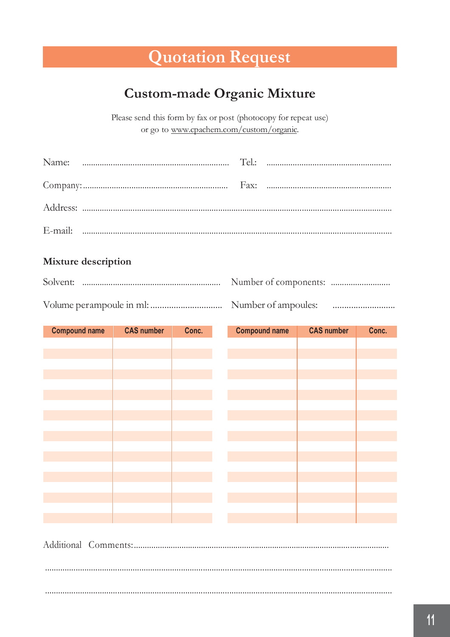# **Quotation Request**

### **Custom-made Organic Mixture**

Please send this form by fax or post (photocopy for repeat use) or go to www.cpachem.com/custom/organic.

### Mixture description

| <b>Compound name</b> | <b>CAS number</b> | Conc. | <b>Compound name</b> | <b>CAS number</b> | Conc. |
|----------------------|-------------------|-------|----------------------|-------------------|-------|
|                      |                   |       |                      |                   |       |
|                      |                   |       |                      |                   |       |
|                      |                   |       |                      |                   |       |
|                      |                   |       |                      |                   |       |
|                      |                   |       |                      |                   |       |
|                      |                   |       |                      |                   |       |
|                      |                   |       |                      |                   |       |
|                      |                   |       |                      |                   |       |
|                      |                   |       |                      |                   |       |
|                      |                   |       |                      |                   |       |
|                      |                   |       |                      |                   |       |
|                      |                   |       |                      |                   |       |
|                      |                   |       |                      |                   |       |
|                      |                   |       |                      |                   |       |
|                      |                   |       |                      |                   |       |
|                      |                   |       |                      |                   |       |